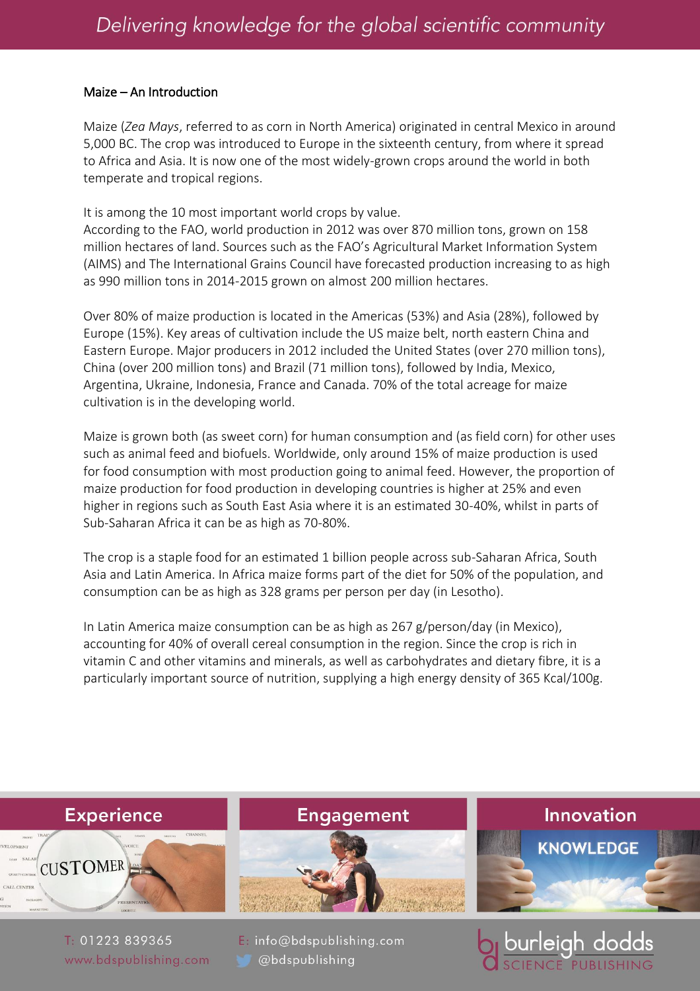## Maize – An Introduction

Maize (*Zea Mays*, referred to as corn in North America) originated in central Mexico in around 5,000 BC. The crop was introduced to Europe in the sixteenth century, from where it spread to Africa and Asia. It is now one of the most widely-grown crops around the world in both temperate and tropical regions.

It is among the 10 most important world crops by value.

According to the FAO, world production in 2012 was over 870 million tons, grown on 158 million hectares of land. Sources such as the FAO's Agricultural Market Information System (AIMS) and The International Grains Council have forecasted production increasing to as high as 990 million tons in 2014-2015 grown on almost 200 million hectares.

Over 80% of maize production is located in the Americas (53%) and Asia (28%), followed by Europe (15%). Key areas of cultivation include the US maize belt, north eastern China and Eastern Europe. Major producers in 2012 included the United States (over 270 million tons), China (over 200 million tons) and Brazil (71 million tons), followed by India, Mexico, Argentina, Ukraine, Indonesia, France and Canada. 70% of the total acreage for maize cultivation is in the developing world.

Maize is grown both (as sweet corn) for human consumption and (as field corn) for other uses such as animal feed and biofuels. Worldwide, only around 15% of maize production is used for food consumption with most production going to animal feed. However, the proportion of maize production for food production in developing countries is higher at 25% and even higher in regions such as South East Asia where it is an estimated 30-40%, whilst in parts of Sub-Saharan Africa it can be as high as 70-80%.

The crop is a staple food for an estimated 1 billion people across sub-Saharan Africa, South Asia and Latin America. In Africa maize forms part of the diet for 50% of the population, and consumption can be as high as 328 grams per person per day (in Lesotho).

In Latin America maize consumption can be as high as 267 g/person/day (in Mexico), accounting for 40% of overall cereal consumption in the region. Since the crop is rich in vitamin C and other vitamins and minerals, as well as carbohydrates and dietary fibre, it is a particularly important source of nutrition, supplying a high energy density of 365 Kcal/100g.